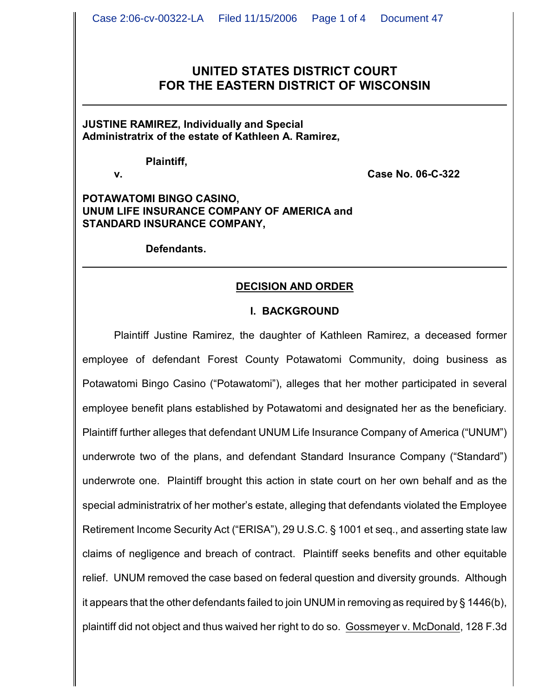# **UNITED STATES DISTRICT COURT FOR THE EASTERN DISTRICT OF WISCONSIN**

**JUSTINE RAMIREZ, Individually and Special Administratrix of the estate of Kathleen A. Ramirez,**

**Plaintiff,**

**v. Case No. 06-C-322**

**POTAWATOMI BINGO CASINO, UNUM LIFE INSURANCE COMPANY OF AMERICA and STANDARD INSURANCE COMPANY,**

**Defendants.**

### **DECISION AND ORDER**

### **I. BACKGROUND**

Plaintiff Justine Ramirez, the daughter of Kathleen Ramirez, a deceased former employee of defendant Forest County Potawatomi Community, doing business as Potawatomi Bingo Casino ("Potawatomi"), alleges that her mother participated in several employee benefit plans established by Potawatomi and designated her as the beneficiary. Plaintiff further alleges that defendant UNUM Life Insurance Company of America ("UNUM") underwrote two of the plans, and defendant Standard Insurance Company ("Standard") underwrote one. Plaintiff brought this action in state court on her own behalf and as the special administratrix of her mother's estate, alleging that defendants violated the Employee Retirement Income Security Act ("ERISA"), 29 U.S.C. § 1001 et seq., and asserting state law claims of negligence and breach of contract. Plaintiff seeks benefits and other equitable relief. UNUM removed the case based on federal question and diversity grounds. Although it appears that the other defendants failed to join UNUM in removing as required by § 1446(b), plaintiff did not object and thus waived her right to do so. Gossmeyer v. McDonald, 128 F.3d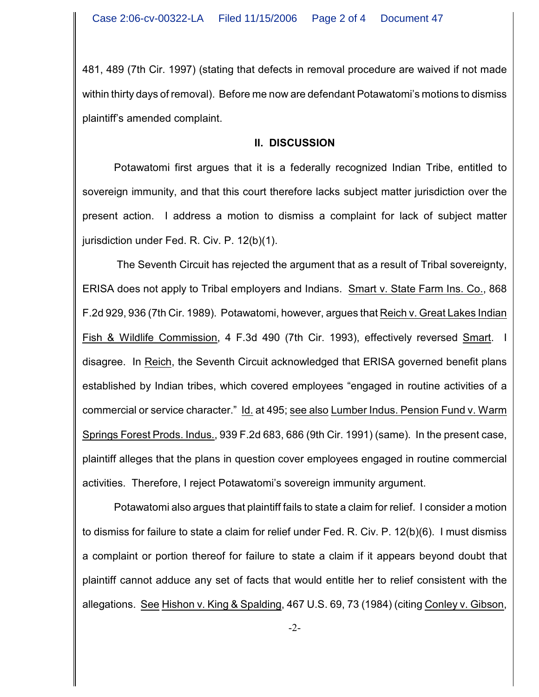481, 489 (7th Cir. 1997) (stating that defects in removal procedure are waived if not made within thirty days of removal). Before me now are defendant Potawatomi's motions to dismiss plaintiff's amended complaint.

### **II. DISCUSSION**

Potawatomi first argues that it is a federally recognized Indian Tribe, entitled to sovereign immunity, and that this court therefore lacks subject matter jurisdiction over the present action. I address a motion to dismiss a complaint for lack of subject matter jurisdiction under Fed. R. Civ. P. 12(b)(1).

 The Seventh Circuit has rejected the argument that as a result of Tribal sovereignty, ERISA does not apply to Tribal employers and Indians. Smart v. State Farm Ins. Co., 868 F.2d 929, 936 (7th Cir. 1989). Potawatomi, however, argues that Reich v. Great Lakes Indian Fish & Wildlife Commission, 4 F.3d 490 (7th Cir. 1993), effectively reversed Smart. I disagree. In Reich, the Seventh Circuit acknowledged that ERISA governed benefit plans established by Indian tribes, which covered employees "engaged in routine activities of a commercial or service character." Id. at 495; see also Lumber Indus. Pension Fund v. Warm Springs Forest Prods. Indus., 939 F.2d 683, 686 (9th Cir. 1991) (same). In the present case, plaintiff alleges that the plans in question cover employees engaged in routine commercial activities. Therefore, I reject Potawatomi's sovereign immunity argument.

Potawatomi also argues that plaintiff fails to state a claim for relief. I consider a motion to dismiss for failure to state a claim for relief under Fed. R. Civ. P. 12(b)(6). I must dismiss a complaint or portion thereof for failure to state a claim if it appears beyond doubt that plaintiff cannot adduce any set of facts that would entitle her to relief consistent with the allegations. See Hishon v. King & Spalding, 467 U.S. 69, 73 (1984) (citing Conley v. Gibson,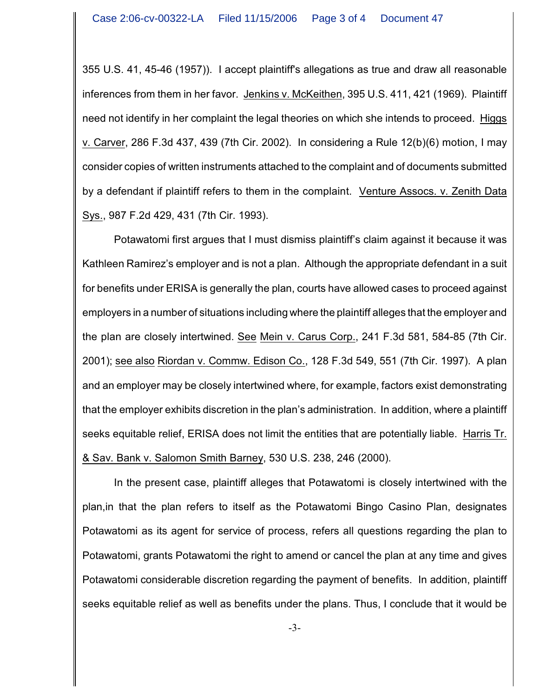355 U.S. 41, 45-46 (1957)). I accept plaintiff's allegations as true and draw all reasonable inferences from them in her favor. Jenkins v. McKeithen, 395 U.S. 411, 421 (1969). Plaintiff need not identify in her complaint the legal theories on which she intends to proceed. Higgs v. Carver, 286 F.3d 437, 439 (7th Cir. 2002). In considering a Rule 12(b)(6) motion, I may consider copies of written instruments attached to the complaint and of documents submitted by a defendant if plaintiff refers to them in the complaint. Venture Assocs. v. Zenith Data Sys., 987 F.2d 429, 431 (7th Cir. 1993).

Potawatomi first argues that I must dismiss plaintiff's claim against it because it was Kathleen Ramirez's employer and is not a plan. Although the appropriate defendant in a suit for benefits under ERISA is generally the plan, courts have allowed cases to proceed against employers in a number of situations including where the plaintiff alleges that the employer and the plan are closely intertwined. See Mein v. Carus Corp., 241 F.3d 581, 584-85 (7th Cir. 2001); see also Riordan v. Commw. Edison Co., 128 F.3d 549, 551 (7th Cir. 1997). A plan and an employer may be closely intertwined where, for example, factors exist demonstrating that the employer exhibits discretion in the plan's administration. In addition, where a plaintiff seeks equitable relief, ERISA does not limit the entities that are potentially liable. Harris Tr. & Sav. Bank v. Salomon Smith Barney, 530 U.S. 238, 246 (2000).

In the present case, plaintiff alleges that Potawatomi is closely intertwined with the plan,in that the plan refers to itself as the Potawatomi Bingo Casino Plan, designates Potawatomi as its agent for service of process, refers all questions regarding the plan to Potawatomi, grants Potawatomi the right to amend or cancel the plan at any time and gives Potawatomi considerable discretion regarding the payment of benefits. In addition, plaintiff seeks equitable relief as well as benefits under the plans. Thus, I conclude that it would be